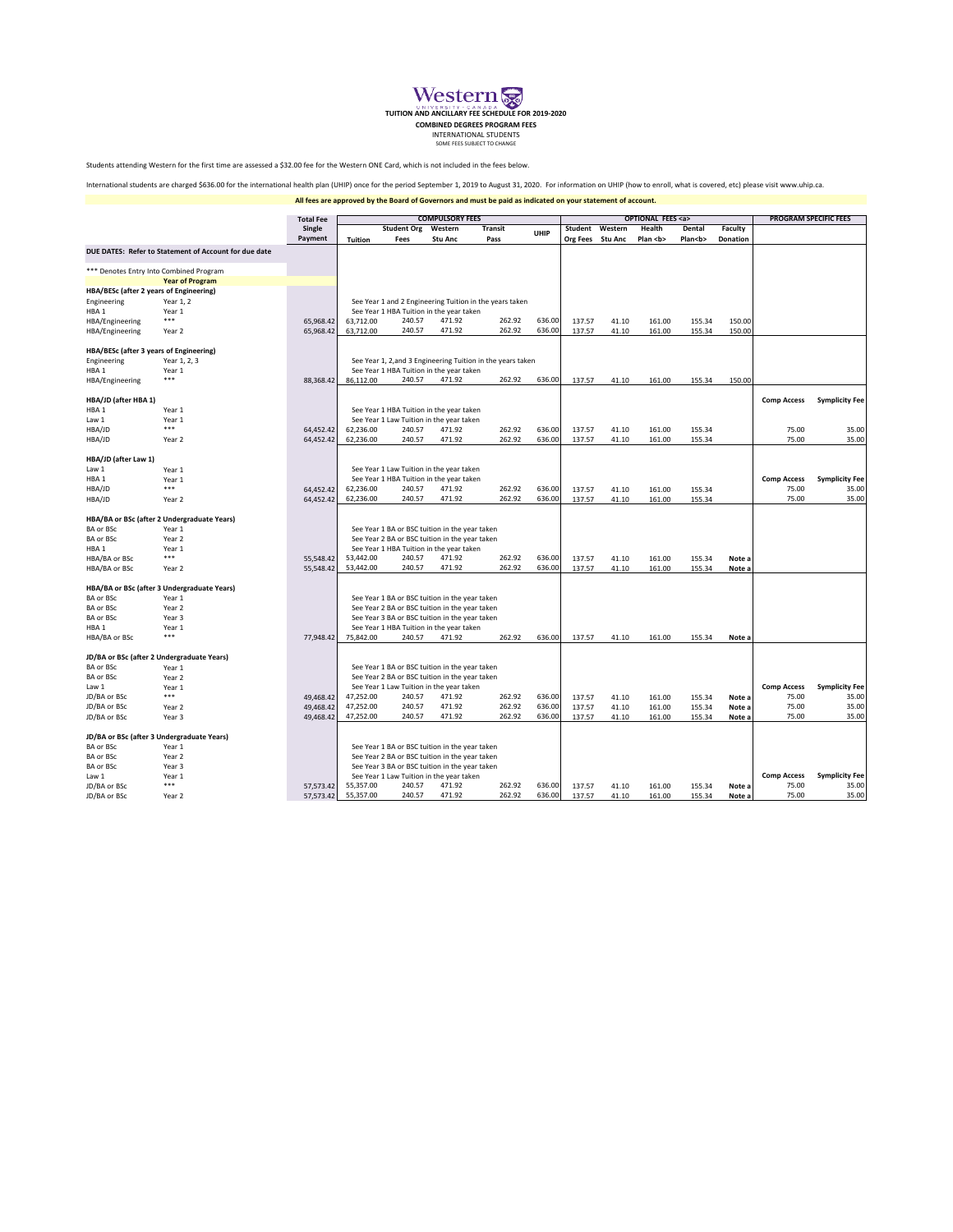

**TUITION AND ANCILLARY FEE SCHEDULE FOR 2019-2020**

**COMBINED DEGREES PROGRAM FEES<br>INTERNATIONAL STUDENTS** 

SOME FEES SUBJECT TO CHANGE

Students attending Western for the first time are assessed a \$32.00 fee for the Western ONE Card, which is not included in the fees below.

International students are charged \$636.00 for the international health plan (UHIP) once for the period September 1, 2019 to August 31, 2020. For information on UHIP (how to enroll, what is covered, etc) please visit www.u

**All fees are approved by the Board of Governors and must be paid as indicated on your statement of account.**

|                                                                   | <b>Total Fee</b>                                      |           | <b>COMPULSORY FEES</b> |                    |                                                                                                  |                                                             |        | <b>OPTIONAL FEES <a></a></b> |         |              |              |                 | <b>PROGRAM SPECIFIC FEES</b> |                       |
|-------------------------------------------------------------------|-------------------------------------------------------|-----------|------------------------|--------------------|--------------------------------------------------------------------------------------------------|-------------------------------------------------------------|--------|------------------------------|---------|--------------|--------------|-----------------|------------------------------|-----------------------|
|                                                                   |                                                       | Single    |                        | <b>Student Org</b> | Western                                                                                          | <b>Transit</b>                                              | UHIP   | Student                      | Western | Health       | Dental       | Faculty         |                              |                       |
|                                                                   |                                                       | Payment   | <b>Tuition</b>         | Fees               | <b>Stu Anc</b>                                                                                   | Pass                                                        |        | Org Fees Stu Anc             |         | Plan <b></b> | Plan <b></b> | <b>Donation</b> |                              |                       |
|                                                                   | DUE DATES: Refer to Statement of Account for due date |           |                        |                    |                                                                                                  |                                                             |        |                              |         |              |              |                 |                              |                       |
|                                                                   | *** Denotes Entry Into Combined Program               |           |                        |                    |                                                                                                  |                                                             |        |                              |         |              |              |                 |                              |                       |
|                                                                   |                                                       |           |                        |                    |                                                                                                  |                                                             |        |                              |         |              |              |                 |                              |                       |
| <b>Year of Program</b><br>HBA/BESc (after 2 years of Engineering) |                                                       |           |                        |                    |                                                                                                  |                                                             |        |                              |         |              |              |                 |                              |                       |
| Engineering                                                       | Year 1, 2                                             |           |                        |                    |                                                                                                  | See Year 1 and 2 Engineering Tuition in the years taken     |        |                              |         |              |              |                 |                              |                       |
| HBA <sub>1</sub>                                                  | Year 1                                                |           |                        |                    | See Year 1 HBA Tuition in the year taken                                                         |                                                             |        |                              |         |              |              |                 |                              |                       |
| HBA/Engineering                                                   | ***                                                   | 65,968.42 | 63,712.00              | 240.57             | 471.92                                                                                           | 262.92                                                      | 636.00 | 137.57                       | 41.10   | 161.00       | 155.34       | 150.00          |                              |                       |
| HBA/Engineering                                                   | Year 2                                                | 65,968.42 | 63,712.00              | 240.57             | 471.92                                                                                           | 262.92                                                      | 636.00 | 137.57                       | 41.10   | 161.00       | 155.34       | 150.00          |                              |                       |
|                                                                   |                                                       |           |                        |                    |                                                                                                  |                                                             |        |                              |         |              |              |                 |                              |                       |
| HBA/BESc (after 3 years of Engineering)                           |                                                       |           |                        |                    |                                                                                                  |                                                             |        |                              |         |              |              |                 |                              |                       |
| Engineering                                                       | Year 1, 2, 3                                          |           |                        |                    |                                                                                                  | See Year 1, 2, and 3 Engineering Tuition in the years taken |        |                              |         |              |              |                 |                              |                       |
| HBA <sub>1</sub>                                                  | Year 1<br>***                                         |           | 86,112.00              | 240.57             | See Year 1 HBA Tuition in the year taken<br>471.92                                               | 262.92                                                      | 636.00 | 137.57                       |         |              |              |                 |                              |                       |
| HBA/Engineering                                                   |                                                       | 88,368.42 |                        |                    |                                                                                                  |                                                             |        |                              | 41.10   | 161.00       | 155.34       | 150.00          |                              |                       |
| HBA/JD (after HBA 1)                                              |                                                       |           |                        |                    |                                                                                                  |                                                             |        |                              |         |              |              |                 | <b>Comp Access</b>           | <b>Symplicity Fee</b> |
| HBA <sub>1</sub>                                                  | Year 1                                                |           |                        |                    | See Year 1 HBA Tuition in the year taken                                                         |                                                             |        |                              |         |              |              |                 |                              |                       |
| Law 1                                                             | Year 1                                                |           |                        |                    | See Year 1 Law Tuition in the year taken                                                         |                                                             |        |                              |         |              |              |                 |                              |                       |
| HBA/JD                                                            | ***                                                   | 64,452.42 | 62,236.00              | 240.57             | 471.92                                                                                           | 262.92                                                      | 636.00 | 137.57                       | 41.10   | 161.00       | 155.34       |                 | 75.00                        | 35.00                 |
| HBA/JD                                                            | Year 2                                                | 64,452.42 | 62,236.00              | 240.57             | 471.92                                                                                           | 262.92                                                      | 636.00 | 137.57                       | 41.10   | 161.00       | 155.34       |                 | 75.00                        | 35.00                 |
| HBA/JD (after Law 1)                                              |                                                       |           |                        |                    |                                                                                                  |                                                             |        |                              |         |              |              |                 |                              |                       |
| Law 1                                                             | Year 1                                                |           |                        |                    | See Year 1 Law Tuition in the year taken                                                         |                                                             |        |                              |         |              |              |                 |                              |                       |
| HBA <sub>1</sub>                                                  | Year 1                                                |           |                        |                    | See Year 1 HBA Tuition in the year taken                                                         |                                                             |        |                              |         |              |              |                 | <b>Comp Access</b>           | <b>Symplicity Fee</b> |
| HBA/JD                                                            | ***                                                   | 64,452.42 | 62,236.00              | 240.57             | 471.92                                                                                           | 262.92                                                      | 636.00 | 137.57                       | 41.10   | 161.00       | 155.34       |                 | 75.00                        | 35.00                 |
| HBA/JD                                                            | Year 2                                                | 64,452.42 | 62,236.00              | 240.57             | 471.92                                                                                           | 262.92                                                      | 636.00 | 137.57                       | 41.10   | 161.00       | 155.34       |                 | 75.00                        | 35.00                 |
|                                                                   |                                                       |           |                        |                    |                                                                                                  |                                                             |        |                              |         |              |              |                 |                              |                       |
| <b>BA or BSc</b>                                                  | HBA/BA or BSc (after 2 Undergraduate Years)<br>Year 1 |           |                        |                    |                                                                                                  |                                                             |        |                              |         |              |              |                 |                              |                       |
| <b>BA or BSc</b>                                                  | Year 2                                                |           |                        |                    | See Year 1 BA or BSC tuition in the year taken<br>See Year 2 BA or BSC tuition in the year taken |                                                             |        |                              |         |              |              |                 |                              |                       |
| HBA <sub>1</sub>                                                  | Year 1                                                |           |                        |                    | See Year 1 HBA Tuition in the year taken                                                         |                                                             |        |                              |         |              |              |                 |                              |                       |
| HBA/BA or BSc                                                     | ***                                                   | 55,548.42 | 53,442.00              | 240.57             | 471.92                                                                                           | 262.92                                                      | 636.00 | 137.57                       | 41.10   | 161.00       | 155.34       | Note a          |                              |                       |
| HBA/BA or BSc                                                     | Year 2                                                | 55,548.42 | 53,442.00              | 240.57             | 471.92                                                                                           | 262.92                                                      | 636.00 | 137.57                       | 41.10   | 161.00       | 155.34       | Note a          |                              |                       |
|                                                                   |                                                       |           |                        |                    |                                                                                                  |                                                             |        |                              |         |              |              |                 |                              |                       |
| HBA/BA or BSc (after 3 Undergraduate Years)                       |                                                       |           |                        |                    |                                                                                                  |                                                             |        |                              |         |              |              |                 |                              |                       |
| <b>BA or BSc</b>                                                  | Year 1                                                |           |                        |                    | See Year 1 BA or BSC tuition in the year taken                                                   |                                                             |        |                              |         |              |              |                 |                              |                       |
| <b>BA or BSc</b>                                                  | Year 2                                                |           |                        |                    | See Year 2 BA or BSC tuition in the year taken                                                   |                                                             |        |                              |         |              |              |                 |                              |                       |
| <b>BA or BSc</b>                                                  | Year 3                                                |           |                        |                    | See Year 3 BA or BSC tuition in the year taken                                                   |                                                             |        |                              |         |              |              |                 |                              |                       |
| HBA <sub>1</sub>                                                  | Year 1<br>***                                         |           |                        | 240.57             | See Year 1 HBA Tuition in the year taken<br>471.92                                               | 262.92                                                      | 636.00 |                              |         |              |              |                 |                              |                       |
| HBA/BA or BSc                                                     |                                                       | 77,948.42 | 75,842.00              |                    |                                                                                                  |                                                             |        | 137.57                       | 41.10   | 161.00       | 155.34       | Note a          |                              |                       |
| JD/BA or BSc (after 2 Undergraduate Years)                        |                                                       |           |                        |                    |                                                                                                  |                                                             |        |                              |         |              |              |                 |                              |                       |
| BA or BSc                                                         | Year 1                                                |           |                        |                    | See Year 1 BA or BSC tuition in the year taken                                                   |                                                             |        |                              |         |              |              |                 |                              |                       |
| BA or BSc                                                         | Year 2                                                |           |                        |                    | See Year 2 BA or BSC tuition in the year taken                                                   |                                                             |        |                              |         |              |              |                 |                              |                       |
| Law 1                                                             | Year 1                                                |           |                        |                    | See Year 1 Law Tuition in the year taken                                                         |                                                             |        |                              |         |              |              |                 | <b>Comp Access</b>           | <b>Symplicity Fee</b> |
| JD/BA or BSc                                                      | ***                                                   | 49,468.42 | 47,252.00              | 240.57             | 471.92                                                                                           | 262.92                                                      | 636.00 | 137.57                       | 41.10   | 161.00       | 155.34       | Note a          | 75.00                        | 35.00                 |
| JD/BA or BSc                                                      | Year 2                                                | 49,468.42 | 47,252.00              | 240.57             | 471.92                                                                                           | 262.92                                                      | 636.00 | 137.57                       | 41.10   | 161.00       | 155.34       | Note a          | 75.00                        | 35.00                 |
| JD/BA or BSc                                                      | Year 3                                                | 49,468.42 | 47,252.00              | 240.57             | 471.92                                                                                           | 262.92                                                      | 636.00 | 137.57                       | 41.10   | 161.00       | 155.34       | Note a          | 75.00                        | 35.00                 |
| JD/BA or BSc (after 3 Undergraduate Years)                        |                                                       |           |                        |                    |                                                                                                  |                                                             |        |                              |         |              |              |                 |                              |                       |
| <b>BA or BSc</b>                                                  | Year 1                                                |           |                        |                    | See Year 1 BA or BSC tuition in the year taken                                                   |                                                             |        |                              |         |              |              |                 |                              |                       |
| <b>BA or BSc</b>                                                  | Year 2                                                |           |                        |                    | See Year 2 BA or BSC tuition in the year taken                                                   |                                                             |        |                              |         |              |              |                 |                              |                       |
| <b>BA or BSc</b>                                                  | Year 3                                                |           |                        |                    | See Year 3 BA or BSC tuition in the year taken                                                   |                                                             |        |                              |         |              |              |                 |                              |                       |
| Law 1                                                             | Year 1                                                |           |                        |                    | See Year 1 Law Tuition in the year taken                                                         |                                                             |        |                              |         |              |              |                 | <b>Comp Access</b>           | <b>Symplicity Fee</b> |
| JD/BA or BSc                                                      | ***                                                   | 57,573.42 | 55.357.00              | 240.57             | 471.92                                                                                           | 262.92                                                      | 636.00 | 137.57                       | 41.10   | 161.00       | 155.34       | Note a          | 75.00                        | 35.00                 |
| JD/BA or BSc                                                      | Year 2                                                | 57,573.42 | 55,357.00              | 240.57             | 471.92                                                                                           | 262.92                                                      | 636.00 | 137.57                       | 41.10   | 161.00       | 155.34       | Note a          | 75.00                        | 35.00                 |